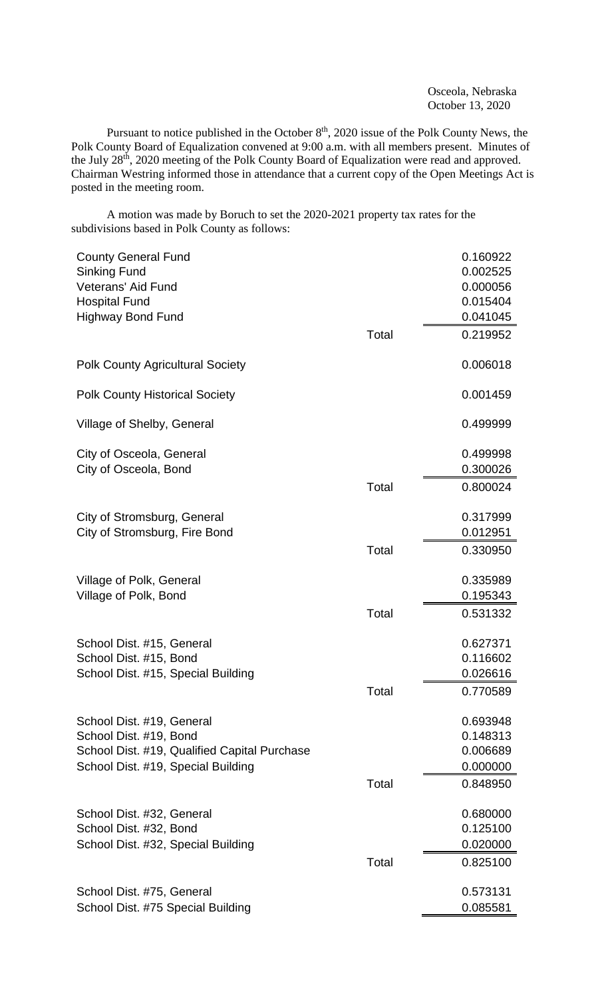Osceola, Nebraska October 13, 2020

Pursuant to notice published in the October  $8<sup>th</sup>$ , 2020 issue of the Polk County News, the Polk County Board of Equalization convened at 9:00 a.m. with all members present. Minutes of the July 28<sup>th</sup>, 2020 meeting of the Polk County Board of Equalization were read and approved. Chairman Westring informed those in attendance that a current copy of the Open Meetings Act is posted in the meeting room.

A motion was made by Boruch to set the 2020-2021 property tax rates for the subdivisions based in Polk County as follows:

| <b>County General Fund</b>                   |       | 0.160922 |
|----------------------------------------------|-------|----------|
| <b>Sinking Fund</b>                          |       | 0.002525 |
| <b>Veterans' Aid Fund</b>                    |       | 0.000056 |
| <b>Hospital Fund</b>                         |       | 0.015404 |
| <b>Highway Bond Fund</b>                     |       | 0.041045 |
|                                              | Total | 0.219952 |
| <b>Polk County Agricultural Society</b>      |       | 0.006018 |
| <b>Polk County Historical Society</b>        |       | 0.001459 |
| Village of Shelby, General                   |       | 0.499999 |
| City of Osceola, General                     |       | 0.499998 |
| City of Osceola, Bond                        |       | 0.300026 |
|                                              | Total | 0.800024 |
| City of Stromsburg, General                  |       | 0.317999 |
| City of Stromsburg, Fire Bond                |       | 0.012951 |
|                                              | Total | 0.330950 |
| Village of Polk, General                     |       | 0.335989 |
| Village of Polk, Bond                        |       | 0.195343 |
|                                              | Total | 0.531332 |
| School Dist. #15, General                    |       | 0.627371 |
| School Dist. #15, Bond                       |       | 0.116602 |
| School Dist. #15, Special Building           |       | 0.026616 |
|                                              | Total | 0.770589 |
| School Dist. #19, General                    |       | 0.693948 |
| School Dist. #19, Bond                       |       | 0.148313 |
| School Dist. #19, Qualified Capital Purchase |       | 0.006689 |
| School Dist. #19, Special Building           |       | 0.000000 |
|                                              | Total | 0.848950 |
| School Dist. #32, General                    |       | 0.680000 |
| School Dist. #32, Bond                       |       | 0.125100 |
| School Dist. #32, Special Building           |       | 0.020000 |
|                                              | Total | 0.825100 |
| School Dist. #75, General                    |       | 0.573131 |
| School Dist. #75 Special Building            |       | 0.085581 |